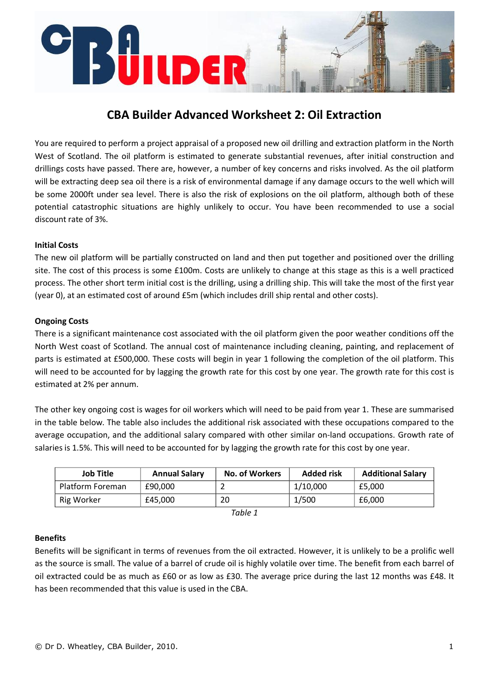# UILDER

# **CBA Builder Advanced Worksheet 2: Oil Extraction**

You are required to perform a project appraisal of a proposed new oil drilling and extraction platform in the North West of Scotland. The oil platform is estimated to generate substantial revenues, after initial construction and drillings costs have passed. There are, however, a number of key concerns and risks involved. As the oil platform will be extracting deep sea oil there is a risk of environmental damage if any damage occurs to the well which will be some 2000ft under sea level. There is also the risk of explosions on the oil platform, although both of these potential catastrophic situations are highly unlikely to occur. You have been recommended to use a social discount rate of 3%.

# **Initial Costs**

The new oil platform will be partially constructed on land and then put together and positioned over the drilling site. The cost of this process is some £100m. Costs are unlikely to change at this stage as this is a well practiced process. The other short term initial cost is the drilling, using a drilling ship. This will take the most of the first year (year 0), at an estimated cost of around £5m (which includes drill ship rental and other costs).

### **Ongoing Costs**

There is a significant maintenance cost associated with the oil platform given the poor weather conditions off the North West coast of Scotland. The annual cost of maintenance including cleaning, painting, and replacement of parts is estimated at £500,000. These costs will begin in year 1 following the completion of the oil platform. This will need to be accounted for by lagging the growth rate for this cost by one year. The growth rate for this cost is estimated at 2% per annum.

The other key ongoing cost is wages for oil workers which will need to be paid from year 1. These are summarised in the table below. The table also includes the additional risk associated with these occupations compared to the average occupation, and the additional salary compared with other similar on‐land occupations. Growth rate of salaries is 1.5%. This will need to be accounted for by lagging the growth rate for this cost by one year.

| <b>Job Title</b> | <b>Annual Salary</b> | <b>No. of Workers</b> | <b>Added risk</b> | <b>Additional Salary</b> |
|------------------|----------------------|-----------------------|-------------------|--------------------------|
| Platform Foreman | £90,000              | ←                     | 1/10,000          | £5.000                   |
| Rig Worker       | £45,000              | 20                    | 1/500             | £6.000                   |

| Table |  |
|-------|--|
|-------|--|

### **Benefits**

Benefits will be significant in terms of revenues from the oil extracted. However, it is unlikely to be a prolific well as the source is small. The value of a barrel of crude oil is highly volatile over time. The benefit from each barrel of oil extracted could be as much as £60 or as low as £30. The average price during the last 12 months was £48. It has been recommended that this value is used in the CBA.